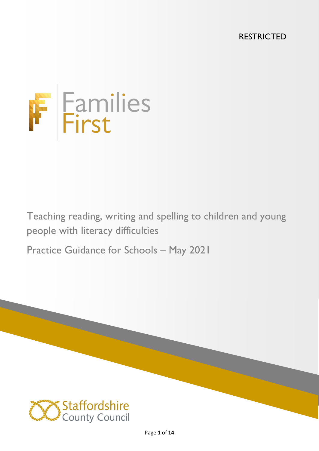RESTRICTED



Teaching reading, writing and spelling to children and young people with literacy difficulties

Practice Guidance for Schools – May 2021

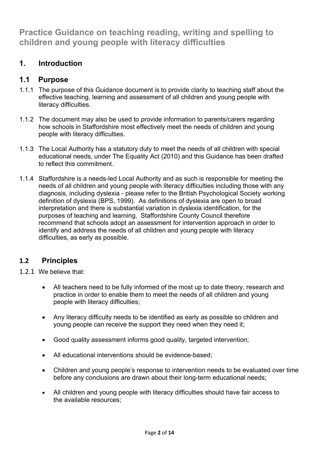**Practice Guidance on teaching reading, writing and spelling to children and young people with literacy difficulties** 

# **1. Introduction**

## **1.1 Purpose**

- 1.1.1 The purpose of this Guidance document is to provide clarity to teaching staff about the effective teaching, learning and assessment of all children and young people with literacy difficulties.
- 1.1.2 The document may also be used to provide information to parents/carers regarding how schools in Staffordshire most effectively meet the needs of children and young people with literacy difficulties.
- 1.1.3 The Local Authority has a statutory duty to meet the needs of all children with special educational needs, under The Equality Act (2010) and this Guidance has been drafted to reflect this commitment.
- 1.1.4 Staffordshire is a needs-led Local Authority and as such is responsible for meeting the needs of all children and young people with literacy difficulties including those with any diagnosis, including dyslexia - please refer to the British Psychological Society working definition of dyslexia (BPS, 1999). As definitions of dyslexia are open to broad interpretation and there is substantial variation in dyslexia identification, for the purposes of teaching and learning, Staffordshire County Council therefore recommend that schools adopt an assessment for intervention approach in order to identify and address the needs of all children and young people with literacy difficulties, as early as possible.

# **1.2 Principles**

- 1.2.1 We believe that:
	- All teachers need to be fully informed of the most up to date theory, research and practice in order to enable them to meet the needs of all children and young people with literacy difficulties;
	- Any literacy difficulty needs to be identified as early as possible so children and young people can receive the support they need when they need it;
	- Good quality assessment informs good quality, targeted intervention;
	- All educational interventions should be evidence-based;
	- Children and young people's response to intervention needs to be evaluated over time before any conclusions are drawn about their long-term educational needs;
	- All children and young people with literacy difficulties should have fair access to the available resources;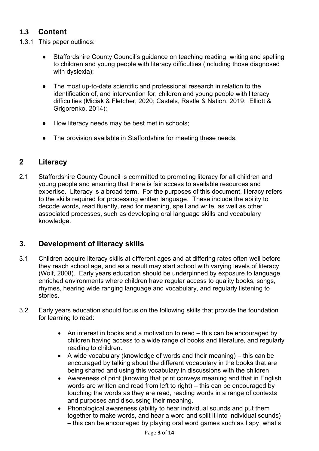# **1.3 Content**

- 1.3.1 This paper outlines:
	- Staffordshire County Council's quidance on teaching reading, writing and spelling to children and young people with literacy difficulties (including those diagnosed with dyslexia);
	- The most up-to-date scientific and professional research in relation to the identification of, and intervention for, children and young people with literacy difficulties (Miciak & Fletcher, 2020; Castels, Rastle & Nation, 2019; Elliott & Grigorenko, 2014);
	- How literacy needs may be best met in schools;
	- The provision available in Staffordshire for meeting these needs.

# **2 Literacy**

2.1 Staffordshire County Council is committed to promoting literacy for all children and young people and ensuring that there is fair access to available resources and expertise. Literacy is a broad term. For the purposes of this document, literacy refers to the skills required for processing written language. These include the ability to decode words, read fluently, read for meaning, spell and write, as well as other associated processes, such as developing oral language skills and vocabulary knowledge.

# **3. Development of literacy skills**

- 3.1 Children acquire literacy skills at different ages and at differing rates often well before they reach school age, and as a result may start school with varying levels of literacy (Wolf, 2008). Early years education should be underpinned by exposure to language enriched environments where children have regular access to quality books, songs, rhymes, hearing wide ranging language and vocabulary, and regularly listening to stories.
- 3.2 Early years education should focus on the following skills that provide the foundation for learning to read:
	- An interest in books and a motivation to read this can be encouraged by children having access to a wide range of books and literature, and regularly reading to children.
	- A wide vocabulary (knowledge of words and their meaning) this can be encouraged by talking about the different vocabulary in the books that are being shared and using this vocabulary in discussions with the children.
	- Awareness of print (knowing that print conveys meaning and that in English words are written and read from left to right) – this can be encouraged by touching the words as they are read, reading words in a range of contexts and purposes and discussing their meaning.
	- Phonological awareness (ability to hear individual sounds and put them together to make words, and hear a word and split it into individual sounds) – this can be encouraged by playing oral word games such as I spy, what's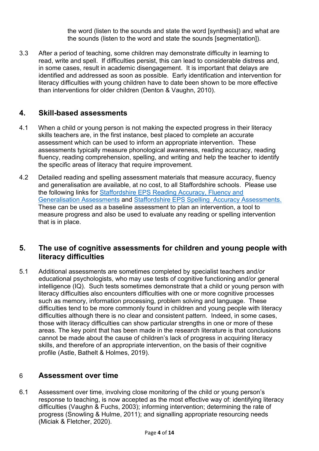the word (listen to the sounds and state the word [synthesis]) and what are the sounds (listen to the word and state the sounds [segmentation]).

3.3 After a period of teaching, some children may demonstrate difficulty in learning to read, write and spell. If difficulties persist, this can lead to considerable distress and, in some cases, result in academic disengagement. It is important that delays are identified and addressed as soon as possible. Early identification and intervention for literacy difficulties with young children have to date been shown to be more effective than interventions for older children (Denton & Vaughn, 2010).

## **4. Skill-based assessments**

- 4.1 When a child or young person is not making the expected progress in their literacy skills teachers are, in the first instance, best placed to complete an accurate assessment which can be used to inform an appropriate intervention. These assessments typically measure phonological awareness, reading accuracy, reading fluency, reading comprehension, spelling, and writing and help the teacher to identify the specific areas of literacy that require improvement.
- 4.2 Detailed reading and spelling assessment materials that measure accuracy, fluency and generalisation are available, at no cost, to all Staffordshire schools. Please use the following links for [Staffordshire EPS Reading Accuracy, Fluency and](https://www.staffordshire.gov.uk/Education/Access-to-learning/Graduated-response/Cognition-and-learning/SEN-support-in-school/Reading-skill-based-assessments-September19.pdf)  [Generalisation Assessments](https://www.staffordshire.gov.uk/Education/Access-to-learning/Graduated-response/Cognition-and-learning/SEN-support-in-school/Reading-skill-based-assessments-September19.pdf) and [Staffordshire EPS Spelling Accuracy Assessments.](https://www.staffordshire.gov.uk/Education/Access-to-learning/Graduated-response/Cognition-and-learning/SEN-support-in-school/Spelling-accuracy-assessment-assessor-notes-September19.pdf) These can be used as a baseline assessment to plan an intervention, a tool to measure progress and also be used to evaluate any reading or spelling intervention that is in place.

### **5. The use of cognitive assessments for children and young people with literacy difficulties**

5.1 Additional assessments are sometimes completed by specialist teachers and/or educational psychologists, who may use tests of cognitive functioning and/or general intelligence (IQ). Such tests sometimes demonstrate that a child or young person with literacy difficulties also encounters difficulties with one or more cognitive processes such as memory, information processing, problem solving and language. These difficulties tend to be more commonly found in children and young people with literacy difficulties although there is no clear and consistent pattern. Indeed, in some cases, those with literacy difficulties can show particular strengths in one or more of these areas. The key point that has been made in the research literature is that conclusions cannot be made about the cause of children's lack of progress in acquiring literacy skills, and therefore of an appropriate intervention, on the basis of their cognitive profile (Astle, Bathelt & Holmes, 2019).

# 6 **Assessment over time**

6.1 Assessment over time, involving close monitoring of the child or young person's response to teaching, is now accepted as the most effective way of: identifying literacy difficulties (Vaughn & Fuchs, 2003); informing intervention; determining the rate of progress (Snowling & Hulme, 2011); and signalling appropriate resourcing needs (Miciak & Fletcher, 2020).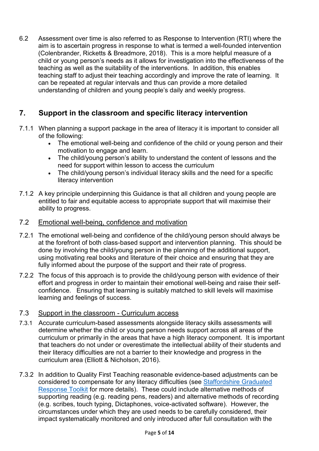6.2 Assessment over time is also referred to as Response to Intervention (RTI) where the aim is to ascertain progress in response to what is termed a well-founded intervention (Colenbrander, Ricketts & Breadmore, 2018). This is a more helpful measure of a child or young person's needs as it allows for investigation into the effectiveness of the teaching as well as the suitability of the interventions. In addition, this enables teaching staff to adjust their teaching accordingly and improve the rate of learning. It can be repeated at regular intervals and thus can provide a more detailed understanding of children and young people's daily and weekly progress.

# **7. Support in the classroom and specific literacy intervention**

- 7.1.1 When planning a support package in the area of literacy it is important to consider all of the following:
	- The emotional well-being and confidence of the child or young person and their motivation to engage and learn.
	- The child/young person's ability to understand the content of lessons and the need for support within lesson to access the curriculum
	- The child/young person's individual literacy skills and the need for a specific literacy intervention
- 7.1.2 A key principle underpinning this Guidance is that all children and young people are entitled to fair and equitable access to appropriate support that will maximise their ability to progress.

#### 7.2 Emotional well-being, confidence and motivation

- 7.2.1 The emotional well-being and confidence of the child/young person should always be at the forefront of both class-based support and intervention planning. This should be done by involving the child/young person in the planning of the additional support, using motivating real books and literature of their choice and ensuring that they are fully informed about the purpose of the support and their rate of progress.
- 7.2.2 The focus of this approach is to provide the child/young person with evidence of their effort and progress in order to maintain their emotional well-being and raise their selfconfidence. Ensuring that learning is suitably matched to skill levels will maximise learning and feelings of success.

#### 7.3 Support in the classroom - Curriculum access

- 7.3.1 Accurate curriculum-based assessments alongside literacy skills assessments will determine whether the child or young person needs support across all areas of the curriculum or primarily in the areas that have a high literacy component. It is important that teachers do not under or overestimate the intellectual ability of their students and their literacy difficulties are not a barrier to their knowledge and progress in the curriculum area (Elliott & Nicholson, 2016).
- 7.3.2 In addition to Quality First Teaching reasonable evidence-based adjustments can be considered to compensate for any literacy difficulties (see [Staffordshire Graduated](http://www.staffordshire.gov.uk/graduatedresponse)  [Response Toolkit](http://www.staffordshire.gov.uk/graduatedresponse) for more details). These could include alternative methods of supporting reading (e.g. reading pens, readers) and alternative methods of recording (e.g. scribes, touch typing, Dictaphones, voice-activated software). However, the circumstances under which they are used needs to be carefully considered, their impact systematically monitored and only introduced after full consultation with the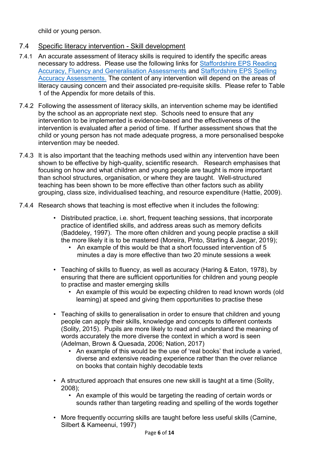child or young person.

#### 7.4 Specific literacy intervention - Skill development

- 7.4.1 An accurate assessment of literacy skills is required to identify the specific areas necessary to address. Please use the following links for [Staffordshire EPS Reading](https://www.staffordshire.gov.uk/Education/Access-to-learning/Graduated-response-toolkit/School-toolkit/EPS-COVID-19-recovery-materials/Reading-and-wider-learning/EPS-Reading-skill-based-assessments-2020.pdf)  [Accuracy, Fluency and Generalisation Assessments](https://www.staffordshire.gov.uk/Education/Access-to-learning/Graduated-response-toolkit/School-toolkit/EPS-COVID-19-recovery-materials/Reading-and-wider-learning/EPS-Reading-skill-based-assessments-2020.pdf) and [Staffordshire EPS Spelling](https://www.staffordshire.gov.uk/Education/Access-to-learning/Graduated-response-toolkit/School-toolkit/Cognition-and-learning/SEN-support-in-school/Spelling-accuracy-assessment-assessor-notes-September19.pdf)  [Accuracy Assessments.](https://www.staffordshire.gov.uk/Education/Access-to-learning/Graduated-response-toolkit/School-toolkit/Cognition-and-learning/SEN-support-in-school/Spelling-accuracy-assessment-assessor-notes-September19.pdf) The content of any intervention will depend on the areas of literacy causing concern and their associated pre-requisite skills. Please refer to Table 1 of the Appendix for more details of this.
- 7.4.2 Following the assessment of literacy skills, an intervention scheme may be identified by the school as an appropriate next step. Schools need to ensure that any intervention to be implemented is evidence-based and the effectiveness of the intervention is evaluated after a period of time. If further assessment shows that the child or young person has not made adequate progress, a more personalised bespoke intervention may be needed.
- 7.4.3 It is also important that the teaching methods used within any intervention have been shown to be effective by high-quality, scientific research. Research emphasises that focusing on how and what children and young people are taught is more important than school structures, organisation, or where they are taught. Well-structured teaching has been shown to be more effective than other factors such as ability grouping, class size, individualised teaching, and resource expenditure (Hattie, 2009).
- 7.4.4 Research shows that teaching is most effective when it includes the following:
	- Distributed practice, i.e. short, frequent teaching sessions, that incorporate practice of identified skills, and address areas such as memory deficits (Baddeley, 1997). The more often children and young people practise a skill the more likely it is to be mastered (Moreira, Pinto, Starling & Jaegar, 2019);
		- An example of this would be that a short focussed intervention of 5 minutes a day is more effective than two 20 minute sessions a week
	- Teaching of skills to fluency, as well as accuracy (Haring & Eaton, 1978), by ensuring that there are sufficient opportunities for children and young people to practise and master emerging skills
		- An example of this would be expecting children to read known words (old learning) at speed and giving them opportunities to practise these
	- Teaching of skills to generalisation in order to ensure that children and young people can apply their skills, knowledge and concepts to different contexts (Solity, 2015). Pupils are more likely to read and understand the meaning of words accurately the more diverse the context in which a word is seen (Adelman, Brown & Quesada, 2006; Nation, 2017)
		- An example of this would be the use of 'real books' that include a varied, diverse and extensive reading experience rather than the over reliance on books that contain highly decodable texts
	- A structured approach that ensures one new skill is taught at a time (Solity, 2008);
		- An example of this would be targeting the reading of certain words or sounds rather than targeting reading and spelling of the words together
	- More frequently occurring skills are taught before less useful skills (Carnine, Silbert & Kameenui, 1997)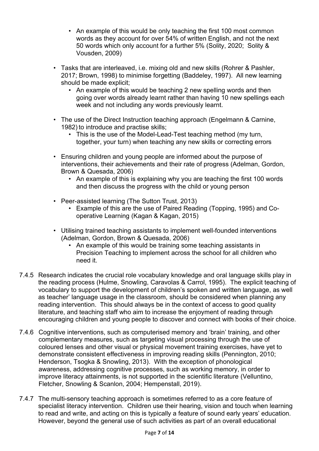- An example of this would be only teaching the first 100 most common words as they account for over 54% of written English, and not the next 50 words which only account for a further 5% (Solity, 2020; Solity & Vousden, 2009)
- Tasks that are interleaved, i.e. mixing old and new skills (Rohrer & Pashler, 2017; Brown, 1998) to minimise forgetting (Baddeley, 1997). All new learning should be made explicit;
	- An example of this would be teaching 2 new spelling words and then going over words already learnt rather than having 10 new spellings each week and not including any words previously learnt.
- The use of the Direct Instruction teaching approach (Engelmann & Carnine, 1982) to introduce and practise skills;
	- This is the use of the Model-Lead-Test teaching method (my turn, together, your turn) when teaching any new skills or correcting errors
- Ensuring children and young people are informed about the purpose of interventions, their achievements and their rate of progress (Adelman, Gordon, Brown & Quesada, 2006)
	- An example of this is explaining why you are teaching the first 100 words and then discuss the progress with the child or young person
- Peer-assisted learning (The Sutton Trust, 2013)
	- Example of this are the use of Paired Reading (Topping, 1995) and Cooperative Learning (Kagan & Kagan, 2015)
- Utilising trained teaching assistants to implement well-founded interventions (Adelman, Gordon, Brown & Quesada, 2006)
	- An example of this would be training some teaching assistants in Precision Teaching to implement across the school for all children who need it.
- 7.4.5 Research indicates the crucial role vocabulary knowledge and oral language skills play in the reading process (Hulme, Snowling, Caravolas & Carrol, 1995). The explicit teaching of vocabulary to support the development of children's spoken and written language, as well as teacher' language usage in the classroom, should be considered when planning any reading intervention. This should always be in the context of access to good quality literature, and teaching staff who aim to increase the enjoyment of reading through encouraging children and young people to discover and connect with books of their choice.
- 7.4.6 Cognitive interventions, such as computerised memory and 'brain' training, and other complementary measures, such as targeting visual processing through the use of coloured lenses and other visual or physical movement training exercises, have yet to demonstrate consistent effectiveness in improving reading skills (Pennington, 2010; Henderson, Tsogka & Snowling, 2013). With the exception of phonological awareness, addressing cognitive processes, such as working memory, in order to improve literacy attainments, is not supported in the scientific literature (Velluntino, Fletcher, Snowling & Scanlon, 2004; Hempenstall, 2019).
- 7.4.7 The multi-sensory teaching approach is sometimes referred to as a core feature of specialist literacy intervention. Children use their hearing, vision and touch when learning to read and write, and acting on this is typically a feature of sound early years' education. However, beyond the general use of such activities as part of an overall educational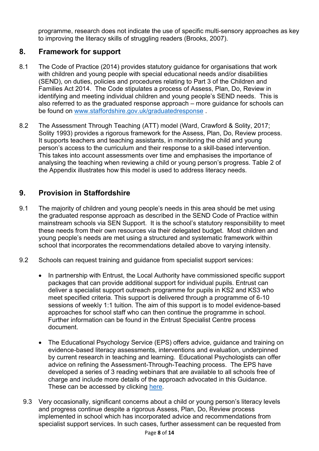programme, research does not indicate the use of specific multi-sensory approaches as key to improving the literacy skills of struggling readers (Brooks, 2007).

## **8. Framework for support**

- 8.1 The Code of Practice (2014) provides statutory guidance for organisations that work with children and young people with special educational needs and/or disabilities (SEND), on duties, policies and procedures relating to Part 3 of the Children and Families Act 2014. The Code stipulates a process of Assess, Plan, Do, Review in identifying and meeting individual children and young people's SEND needs. This is also referred to as the graduated response approach – more guidance for schools can be found on [www.staffordshire.gov.uk/graduatedresponse](http://www.staffordshire.gov.uk/graduatedresponse) .
- 8.2 The Assessment Through Teaching (ATT) model (Ward, Crawford & Solity, 2017; Solity 1993) provides a rigorous framework for the Assess, Plan, Do, Review process. It supports teachers and teaching assistants, in monitoring the child and young person's access to the curriculum and their response to a skill-based intervention. This takes into account assessments over time and emphasises the importance of analysing the teaching when reviewing a child or young person's progress. Table 2 of the Appendix illustrates how this model is used to address literacy needs.

# **9. Provision in Staffordshire**

- 9.1 The majority of children and young people's needs in this area should be met using the graduated response approach as described in the SEND Code of Practice within mainstream schools via SEN Support. It is the school's statutory responsibility to meet these needs from their own resources via their delegated budget. Most children and young people's needs are met using a structured and systematic framework within school that incorporates the recommendations detailed above to varying intensity.
- 9.2 Schools can request training and guidance from specialist support services:
	- In partnership with Entrust, the Local Authority have commissioned specific support packages that can provide additional support for individual pupils. Entrust can deliver a specialist support outreach programme for pupils in KS2 and KS3 who meet specified criteria. This support is delivered through a programme of 6-10 sessions of weekly 1:1 tuition. The aim of this support is to model evidence-based approaches for school staff who can then continue the programme in school. Further information can be found in the Entrust Specialist Centre process document.
	- The Educational Psychology Service (EPS) offers advice, guidance and training on evidence-based literacy assessments, interventions and evaluation, underpinned by current research in teaching and learning. Educational Psychologists can offer advice on refining the Assessment-Through-Teaching process. The EPS have developed a series of 3 reading webinars that are available to all schools free of charge and include more details of the approach advocated in this Guidance. These can be accessed by clicking [here.](https://forms.office.com/Pages/ResponsePage.aspx?id=BqqwiCdZu0uok4nMJxOsgnj5Q5LTTU1HmJT09R1U9O1UQkxUNENJWk02WDVMWklUTDlBRERDQU5HQy4u)
	- 9.3 Very occasionally, significant concerns about a child or young person's literacy levels and progress continue despite a rigorous Assess, Plan, Do, Review process implemented in school which has incorporated advice and recommendations from specialist support services. In such cases, further assessment can be requested from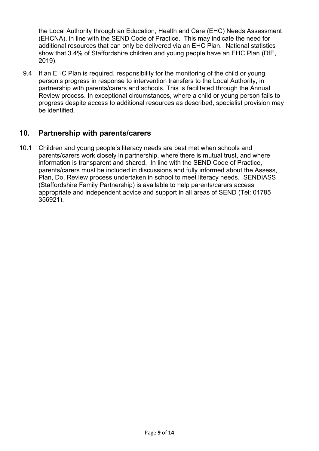the Local Authority through an Education, Health and Care (EHC) Needs Assessment (EHCNA), in line with the SEND Code of Practice. This may indicate the need for additional resources that can only be delivered via an EHC Plan. National statistics show that 3.4% of Staffordshire children and young people have an EHC Plan (DfE, 2019).

9.4 If an EHC Plan is required, responsibility for the monitoring of the child or young person's progress in response to intervention transfers to the Local Authority, in partnership with parents/carers and schools. This is facilitated through the Annual Review process. In exceptional circumstances, where a child or young person fails to progress despite access to additional resources as described, specialist provision may be identified.

## **10. Partnership with parents/carers**

10.1 Children and young people's literacy needs are best met when schools and parents/carers work closely in partnership, where there is mutual trust, and where information is transparent and shared. In line with the SEND Code of Practice, parents/carers must be included in discussions and fully informed about the Assess, Plan, Do, Review process undertaken in school to meet literacy needs. SENDIASS (Staffordshire Family Partnership) is available to help parents/carers access appropriate and independent advice and support in all areas of SEND (Tel: 01785 356921).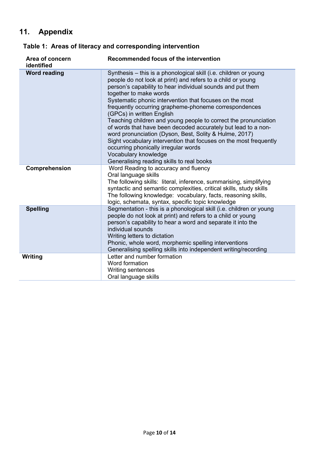# **11. Appendix**

| Area of concern<br>identified | Recommended focus of the intervention                                                                                                                                                                                                                                                                                                                                                                                                                                                                                                                                                                                                                                                                                                                    |
|-------------------------------|----------------------------------------------------------------------------------------------------------------------------------------------------------------------------------------------------------------------------------------------------------------------------------------------------------------------------------------------------------------------------------------------------------------------------------------------------------------------------------------------------------------------------------------------------------------------------------------------------------------------------------------------------------------------------------------------------------------------------------------------------------|
| <b>Word reading</b>           | Synthesis - this is a phonological skill (i.e. children or young<br>people do not look at print) and refers to a child or young<br>person's capability to hear individual sounds and put them<br>together to make words<br>Systematic phonic intervention that focuses on the most<br>frequently occurring grapheme-phoneme correspondences<br>(GPCs) in written English<br>Teaching children and young people to correct the pronunciation<br>of words that have been decoded accurately but lead to a non-<br>word pronunciation (Dyson, Best, Solity & Hulme, 2017)<br>Sight vocabulary intervention that focuses on the most frequently<br>occurring phonically irregular words<br>Vocabulary knowledge<br>Generalising reading skills to real books |
| Comprehension                 | Word Reading to accuracy and fluency<br>Oral language skills<br>The following skills: literal, inference, summarising, simplifying<br>syntactic and semantic complexities, critical skills, study skills<br>The following knowledge: vocabulary, facts, reasoning skills,<br>logic, schemata, syntax, specific topic knowledge                                                                                                                                                                                                                                                                                                                                                                                                                           |
| <b>Spelling</b>               | Segmentation - this is a phonological skill (i.e. children or young<br>people do not look at print) and refers to a child or young<br>person's capability to hear a word and separate it into the<br>individual sounds<br>Writing letters to dictation<br>Phonic, whole word, morphemic spelling interventions<br>Generalising spelling skills into independent writing/recording                                                                                                                                                                                                                                                                                                                                                                        |
| Writing                       | Letter and number formation<br>Word formation<br>Writing sentences<br>Oral language skills                                                                                                                                                                                                                                                                                                                                                                                                                                                                                                                                                                                                                                                               |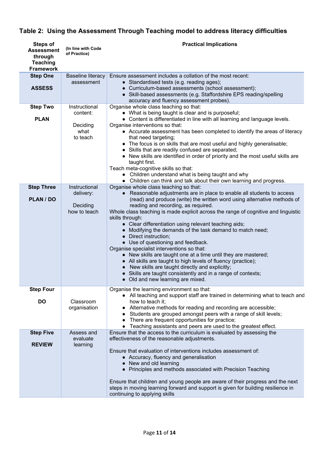# **Table 2: Using the Assessment Through Teaching model to address literacy difficulties**

| <b>Steps of</b><br><b>Assessment</b><br>through<br><b>Teaching</b><br><b>Framework</b> | (In line with Code<br>of Practice)       | <b>Practical Implications</b>                                                                                                                                                                                                                                                                                                                                                                                                                                                                                                                                                                                                                                           |
|----------------------------------------------------------------------------------------|------------------------------------------|-------------------------------------------------------------------------------------------------------------------------------------------------------------------------------------------------------------------------------------------------------------------------------------------------------------------------------------------------------------------------------------------------------------------------------------------------------------------------------------------------------------------------------------------------------------------------------------------------------------------------------------------------------------------------|
| <b>Step One</b>                                                                        | <b>Baseline literacy</b>                 | Ensure assessment includes a collation of the most recent:                                                                                                                                                                                                                                                                                                                                                                                                                                                                                                                                                                                                              |
| <b>ASSESS</b>                                                                          | assessment                               | • Standardised tests (e.g. reading ages);<br>• Curriculum-based assessments (school assessment);<br>• Skill-based assessments (e.g. Staffordshire EPS reading/spelling<br>accuracy and fluency assessment probes).                                                                                                                                                                                                                                                                                                                                                                                                                                                      |
| <b>Step Two</b>                                                                        | Instructional                            | Organise whole class teaching so that:                                                                                                                                                                                                                                                                                                                                                                                                                                                                                                                                                                                                                                  |
| <b>PLAN</b>                                                                            | content:<br>Deciding<br>what<br>to teach | • What is being taught is clear and is purposeful;<br>• Content is differentiated in line with all learning and language levels.<br>Organise interventions so that:<br>• Accurate assessment has been completed to identify the areas of literacy<br>that need targeting;<br>• The focus is on skills that are most useful and highly generalisable;                                                                                                                                                                                                                                                                                                                    |
|                                                                                        |                                          | • Skills that are readily confused are separated;<br>• New skills are identified in order of priority and the most useful skills are<br>taught first.<br>Teach meta-cognitive skills so that:<br>• Children understand what is being taught and why<br>• Children can think and talk about their own learning and progress.                                                                                                                                                                                                                                                                                                                                             |
| <b>Step Three</b>                                                                      | Instructional                            | Organise whole class teaching so that:                                                                                                                                                                                                                                                                                                                                                                                                                                                                                                                                                                                                                                  |
| PLAN / DO                                                                              | delivery:                                | • Reasonable adjustments are in place to enable all students to access<br>(read) and produce (write) the written word using alternative methods of                                                                                                                                                                                                                                                                                                                                                                                                                                                                                                                      |
|                                                                                        | Deciding<br>how to teach                 | reading and recording, as required.<br>Whole class teaching is made explicit across the range of cognitive and linguistic<br>skills through:<br>• Clear differentiation using relevant teaching aids;<br>• Modifying the demands of the task demand to match need;<br>• Direct instruction;<br>• Use of questioning and feedback.<br>Organise specialist interventions so that:<br>• New skills are taught one at a time until they are mastered;<br>• All skills are taught to high levels of fluency (practice);<br>New skills are taught directly and explicitly;<br>• Skills are taught consistently and in a range of contexts;<br>Old and new learning are mixed. |
| <b>Step Four</b>                                                                       |                                          | Organise the learning environment so that:<br>• All teaching and support staff are trained in determining what to teach and                                                                                                                                                                                                                                                                                                                                                                                                                                                                                                                                             |
| <b>DO</b>                                                                              | Classroom<br>organisation                | how to teach it:<br>• Alternative methods for reading and recording are accessible;<br>• Students are grouped amongst peers with a range of skill levels;<br>There are frequent opportunities for practice;<br>$\bullet$<br>Teaching assistants and peers are used to the greatest effect.                                                                                                                                                                                                                                                                                                                                                                              |
| <b>Step Five</b>                                                                       | Assess and                               | Ensure that the access to the curriculum is evaluated by assessing the                                                                                                                                                                                                                                                                                                                                                                                                                                                                                                                                                                                                  |
| <b>REVIEW</b>                                                                          | evaluate<br>learning                     | effectiveness of the reasonable adjustments.<br>Ensure that evaluation of interventions includes assessment of:<br>• Accuracy, fluency and generalisation<br>• New and old learning<br>• Principles and methods associated with Precision Teaching<br>Ensure that children and young people are aware of their progress and the next<br>steps in moving learning forward and support is given for building resilience in<br>continuing to applying skills                                                                                                                                                                                                               |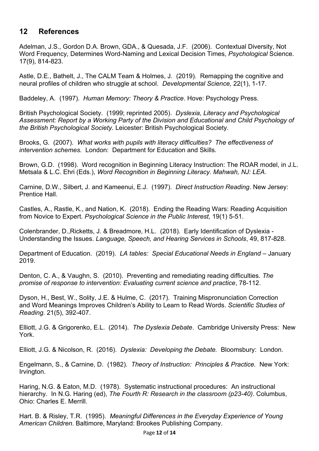## **12 References**

Adelman, J.S., Gordon D.A. Brown, GDA., & Quesada, J.F. (2006). Contextual Diversity, Not Word Frequency, Determines Word-Naming and Lexical Decision Times, *Psychological* Science. 17(9), 814-823.

Astle, D.E., Bathelt, J., The CALM Team & Holmes, J. (2019). Remapping the cognitive and neural profiles of children who struggle at school. *Developmental Science,* 22(1), 1-17.

Baddeley, A. (1997). *Human Memory: Theory & Practice*. Hove: Psychology Press.

British Psychological Society. (1999; reprinted 2005). *Dyslexia, Literacy and Psychological Assessment: Report by a Working Party of the Division and Educational and Child Psychology of the British Psychological Society.* Leicester: British Psychological Society.

Brooks, G. (2007). *What works with pupils with literacy difficulties? The effectiveness of intervention schemes.* London: Department for Education and Skills.

Brown, G.D. (1998). Word recognition in Beginning Literacy Instruction: The ROAR model, in J.L. Metsala & L.C. Ehri (Eds.), *Word Recognition in Beginning Literacy. Mahwah, NJ: LEA.*

Carnine, D.W., Silbert, J. and Kameenui, E.J. (1997). *Direct Instruction Reading*. New Jersey: Prentice Hall.

Castles, A., Rastle, K., and Nation, K. (2018). Ending the Reading Wars: Reading Acquisition from Novice to Expert. *Psychological Science in the Public Interest,* 19(1) 5-51.

Colenbrander, D.,Ricketts, J. & Breadmore, H.L. (2018). Early Identification of Dyslexia - Understanding the Issues. *Language, Speech, and Hearing Services in Schools*, 49, 817-828.

Department of Education. (2019). *LA tables: Special Educational Needs in England* – January 2019.

Denton, C. A., & Vaughn, S. (2010). Preventing and remediating reading difficulties. *The promise of response to intervention: Evaluating current science and practice*, 78-112.

Dyson, H., Best, W., Solity, J.E. & Hulme, C. (2017). Training Mispronunciation Correction and Word Meanings Improves Children's Ability to Learn to Read Words. *Scientific Studies of Reading.* 21(5), 392-407.

Elliott, J.G. & Grigorenko, E.L. (2014). *The Dyslexia Debate*. Cambridge University Press: New York.

Elliott, J.G. & Nicolson, R. (2016). *Dyslexia: Developing the Debate.* Bloomsbury: London.

Engelmann, S., & Carnine, D. (1982). *Theory of Instruction: Principles & Practice.* New York: Irvington.

Haring, N.G. & Eaton, M.D. (1978). Systematic instructional procedures: An instructional hierarchy*.* In N.G. Haring (ed), *The Fourth R: Research in the classroom (p23-40)*. Columbus, Ohio: Charles E. Merrill.

Hart. B. & Risley, T.R. (1995). *Meaningful Differences in the Everyday Experience of Young American Children*. Baltimore, Maryland: Brookes Publishing Company.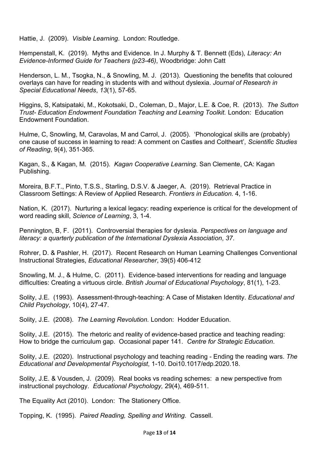Hattie, J. (2009). *Visible Learning*. London: Routledge.

Hempenstall, K. (2019). Myths and Evidence. In J. Murphy & T. Bennett (Eds), *Literacy: An Evidence-Informed Guide for Teachers (p23-46)*, Woodbridge: John Catt

Henderson, L. M., Tsogka, N., & Snowling, M. J. (2013). Questioning the benefits that coloured overlays can have for reading in students with and without dyslexia. *Journal of Research in Special Educational Needs*, *13*(1), 57-65.

Higgins, S, Katsipataki, M., Kokotsaki, D., Coleman, D., Major, L.E. & Coe, R. (2013). *The Sutton Trust- Education Endowment Foundation Teaching and Learning Toolkit.* London: Education Endowment Foundation.

Hulme, C, Snowling, M, Caravolas, M and Carrol, J. (2005). 'Phonological skills are (probably) one cause of success in learning to read: A comment on Castles and Coltheart', *Scientific Studies of Reading*, 9(4), 351-365.

Kagan, S., & Kagan, M. (2015). *Kagan Cooperative Learning*. San Clemente, CA: Kagan Publishing.

Moreira, B.F.T., Pinto, T.S.S., Starling, D.S.V. & Jaeger, A. (2019). Retrieval Practice in Classroom Settings: A Review of Applied Research. *Frontiers in Education.* 4, 1-16.

Nation, K. (2017). Nurturing a lexical legacy: reading experience is critical for the development of word reading skill, *Science of Learning*, 3, 1-4.

Pennington, B, F. (2011). Controversial therapies for dyslexia. *Perspectives on language and literacy: a quarterly publication of the International Dyslexia Association*, *37*.

Rohrer, D. & Pashler, H. (2017). Recent Research on Human Learning Challenges Conventional Instructional Strategies, *Educational Researcher*, 39(5) 406-412

Snowling, M. J., & Hulme, C. (2011). Evidence‐based interventions for reading and language difficulties: Creating a virtuous circle. *British Journal of Educational Psychology*, 81(1), 1-23.

Solity, J.E. (1993). Assessment-through-teaching: A Case of Mistaken Identity. *Educational and Child Psychology*, 10(4), 27-47.

Solity, J.E. (2008). *The Learning Revolution.* London: Hodder Education.

Solity, J.E. (2015). The rhetoric and reality of evidence-based practice and teaching reading: How to bridge the curriculum gap. Occasional paper 141. *Centre for Strategic Education*.

Solity, J.E. (2020). Instructional psychology and teaching reading - Ending the reading wars. *The Educational and Developmental Psychologist*, 1-10. Doi10.1017/edp.2020.18.

Solity, J.E. & Vousden, J. (2009). Real books vs reading schemes: a new perspective from instructional psychology. *Educational Psychology,* 29(4), 469-511.

The Equality Act (2010). London: The Stationery Office.

Topping, K. (1995). *Paired Reading, Spelling and Writing.* Cassell.